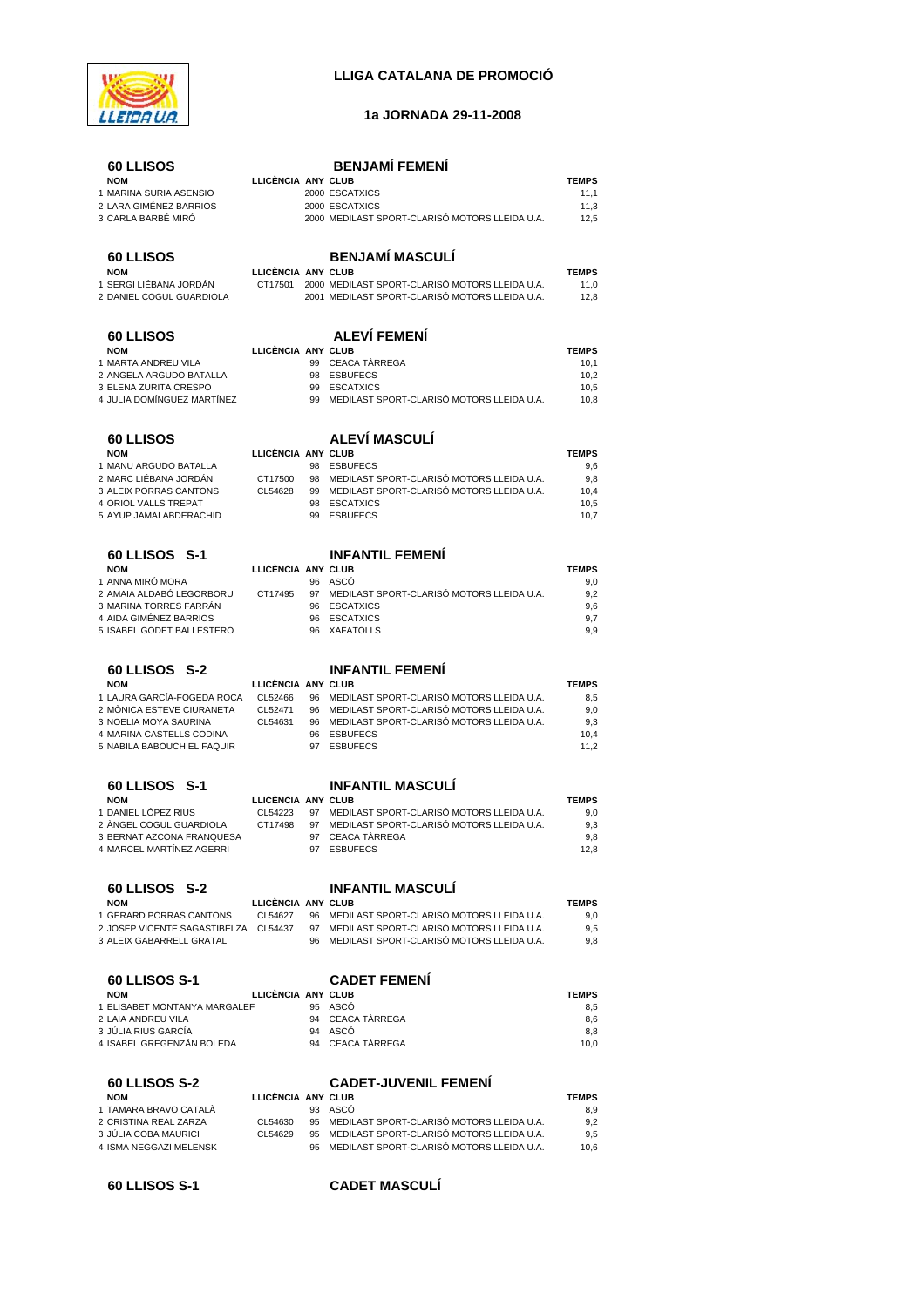

## **LLIGA CATALANA DE PROMOCIÓ**

## **1a JORNADA 29-11-2008**

| <b>60 LLISOS</b>                                         |                               |          | <b>BENJAMÍ FEMENÍ</b>                                                                        |                     |
|----------------------------------------------------------|-------------------------------|----------|----------------------------------------------------------------------------------------------|---------------------|
| <b>NOM</b>                                               | LLICÈNCIA ANY CLUB            |          |                                                                                              | TEMPS               |
| 1 MARINA SURIA ASENSIO                                   |                               |          | 2000 ESCATXICS                                                                               | 11,1                |
| 2 LARA GIMÉNEZ BARRIOS                                   |                               |          | 2000 ESCATXICS                                                                               | 11,3                |
| 3 CARLA BARBÉ MIRÓ                                       |                               |          | 2000 MEDILAST SPORT-CLARISÓ MOTORS LLEIDA U.A.                                               | 12,5                |
| <b>60 LLISOS</b>                                         |                               |          | <b>BENJAMÍ MASCULÍ</b>                                                                       |                     |
| <b>NOM</b>                                               | LLICÊNCIA ANY CLUB            |          |                                                                                              | TEMPS               |
| 1 SERGI LIÉBANA JORDÁN                                   | CT17501                       |          | 2000 MEDILAST SPORT-CLARISÓ MOTORS LLEIDA U.A.                                               | 11,0                |
| 2 DANIEL COGUL GUARDIOLA                                 |                               |          | 2001 MEDILAST SPORT-CLARISÓ MOTORS LLEIDA U.A.                                               | 12,8                |
| <b>60 LLISOS</b>                                         |                               |          | <b>ALEVÍ FEMENÍ</b>                                                                          |                     |
| <b>NOM</b>                                               | LLICÈNCIA ANY CLUB            |          |                                                                                              | TEMPS               |
| 1 MARTA ANDREU VILA                                      |                               | 99       | <b>CEACA TÁRREGA</b>                                                                         | 10,1                |
| 2 ANGELA ARGUDO BATALLA<br>3 ELENA ZURITA CRESPO         |                               | 98<br>99 | <b>ESBUFECS</b><br><b>ESCATXICS</b>                                                          | 10,2<br>10,5        |
| 4 JULIA DOMÍNGUEZ MARTÍNEZ                               |                               | 99       | MEDILAST SPORT-CLARISO MOTORS LLEIDA U.A.                                                    | 10,8                |
|                                                          |                               |          |                                                                                              |                     |
| <b>60 LLISOS</b>                                         |                               |          | <b>ALEVÍ MASCULÍ</b>                                                                         |                     |
| <b>NOM</b><br>1 MANU ARGUDO BATALLA                      | LLICÈNCIA ANY CLUB            | 98       | <b>ESBUFECS</b>                                                                              | <b>TEMPS</b><br>9,6 |
| 2 MARC LIÉBANA JORDÁN                                    | CT17500                       | 98       | MEDILAST SPORT-CLARISÓ MOTORS LLEIDA U.A.                                                    | 9,8                 |
| 3 ALEIX PORRAS CANTONS                                   | CL54628                       | 99       | MEDILAST SPORT-CLARISÓ MOTORS LLEIDA U.A.                                                    | 10,4                |
| <b>4 ORIOL VALLS TREPAT</b>                              |                               | 98       | <b>ESCATXICS</b>                                                                             | 10,5                |
| 5 AYUP JAMAI ABDERACHID                                  |                               | 99       | <b>ESBUFECS</b>                                                                              | 10,7                |
| 60 LLISOS S-1                                            |                               |          | <b>INFANTIL FEMENÍ</b>                                                                       |                     |
| <b>NOM</b>                                               | LLICÈNCIA ANY CLUB            |          |                                                                                              | TEMPS               |
| 1 ANNA MIRÔ MORA                                         |                               | 96       | ASCO                                                                                         | 9,0                 |
| 2 AMAIA ALDABÓ LEGORBORU                                 | CT17495                       | 97       | MEDILAST SPORT-CLARISÓ MOTORS LLEIDA U.A.                                                    | 9,2                 |
| 3 MARINA TORRES FARRÁN<br>4 AIDA GIMÉNEZ BARRIOS         |                               | 96<br>96 | <b>ESCATXICS</b><br><b>ESCATXICS</b>                                                         | 9,6<br>9,7          |
| 5 ISABEL GODET BALLESTERO                                |                               | 96       | <b>XAFATOLLS</b>                                                                             | 9,9                 |
| 60 LLISOS S-2                                            |                               |          | <b>INFANTIL FEMENÍ</b>                                                                       |                     |
| <b>NOM</b>                                               | LLICÊNCIA ANY CLUB            |          |                                                                                              | <b>TEMPS</b>        |
| 1 LAURA GARCÍA-FOGEDA ROCA                               | CL52466                       | 96       | MEDILAST SPORT-CLARISÓ MOTORS LLEIDA U.A.                                                    | 8,5                 |
| 2 MÓNICA ESTEVE CIURANETA                                | CL52471                       | 96       | MEDILAST SPORT-CLARISÓ MOTORS LLEIDA U.A.                                                    | 9,0                 |
| 3 NOELIA MOYA SAURINA                                    | CL54631                       | 96       | MEDILAST SPORT-CLARISÓ MOTORS LLEIDA U.A.                                                    | 9,3                 |
| 4 MARINA CASTELLS CODINA<br>5 NABILA BABOUCH EL FAQUIR   |                               | 96<br>97 | <b>ESBUFECS</b><br><b>ESBUFECS</b>                                                           | 10,4<br>11,2        |
|                                                          |                               |          |                                                                                              |                     |
| 60 LLISOS S-1                                            |                               |          | <b>INFANTIL MASCULI</b>                                                                      |                     |
| <b>NOM</b><br>1 DANIEL LÓPEZ RIUS                        | LLICÊNCIA ANY CLUB<br>CL54223 | 97       | MEDILAST SPORT-CLARISÓ MOTORS LLEIDA U.A.                                                    | TEMPS<br>9,0        |
| 2 ÁNGEL COGUL GUARDIOLA                                  | CT17498                       | 97       | MEDILAST SPORT-CLARISÓ MOTORS LLEIDA U.A.                                                    | 9,3                 |
| 3 BERNAT AZCONA FRANQUESA                                |                               | 97       | CEACA TÀRREGA                                                                                | 9,8                 |
| 4 MARCEL MARTINEZ AGERRI                                 |                               |          | 97 ESBUFECS                                                                                  | 12,8                |
| 60 LLISOS S-2                                            |                               |          | <b>INFANTIL MASCULI</b>                                                                      |                     |
| <b>NOM</b>                                               | LLICÈNCIA ANY CLUB            |          |                                                                                              | <b>TEMPS</b>        |
| 1 GERARD PORRAS CANTONS                                  | CL54627                       |          | 96 MEDILAST SPORT-CLARISÓ MOTORS LLEIDA U.A.                                                 | 9,0                 |
| 2 JOSEP VICENTE SAGASTIBELZA<br>3 ALEIX GABARRELL GRATAL | CL54437                       |          | 97 MEDILAST SPORT-CLARISÓ MOTORS LLEIDA U.A.<br>96 MEDILAST SPORT-CLARISÓ MOTORS LLEIDA U.A. | 9,5<br>9,8          |
|                                                          |                               |          |                                                                                              |                     |
| 60 LLISOS S-1<br><b>NOM</b>                              | LLICÊNCIA ANY CLUB            |          | <b>CADET FEMENI</b>                                                                          | TEMPS               |
| 1 ELISABET MONTANYA MARGALEF                             |                               |          | 95 ASCÓ                                                                                      | 8,5                 |
| 2 LAIA ANDREU VILA                                       |                               |          | 94 CEACA TÀRREGA                                                                             | 8,6                 |
| 3 JÚLIA RIUS GARCÍA<br>4 ISABEL GREGENZÁN BOLEDA         |                               |          | 94 ASCÓ<br>94 CEACA TÁRREGA                                                                  | 8,8<br>10,0         |
|                                                          |                               |          |                                                                                              |                     |
| 60 LLISOS S-2<br><b>NOM</b>                              | LLICÈNCIA ANY CLUB            |          | <b>CADET-JUVENIL FEMENÍ</b>                                                                  | TEMPS               |
| 1 TAMARA BRAVO CATALA                                    |                               |          | 93 ASCO                                                                                      | 8,9                 |
| 2 CRISTINA REAL ZARZA                                    | CL54630                       |          | 95 MEDILAST SPORT-CLARISÓ MOTORS LLEIDA U.A.                                                 | 9,2                 |
| 3 JÚLIA COBA MAURICI                                     | CL54629                       | 95       | MEDILAST SPORT-CLARISÓ MOTORS LLEIDA U.A.                                                    | 9,5                 |
| 4 ISMA NEGGAZI MELENSK                                   |                               | 95       | MEDILAST SPORT-CLARISÓ MOTORS LLEIDA U.A.                                                    | 10,6                |

## **60 LLISOS S-1 CADET MASCULÍ**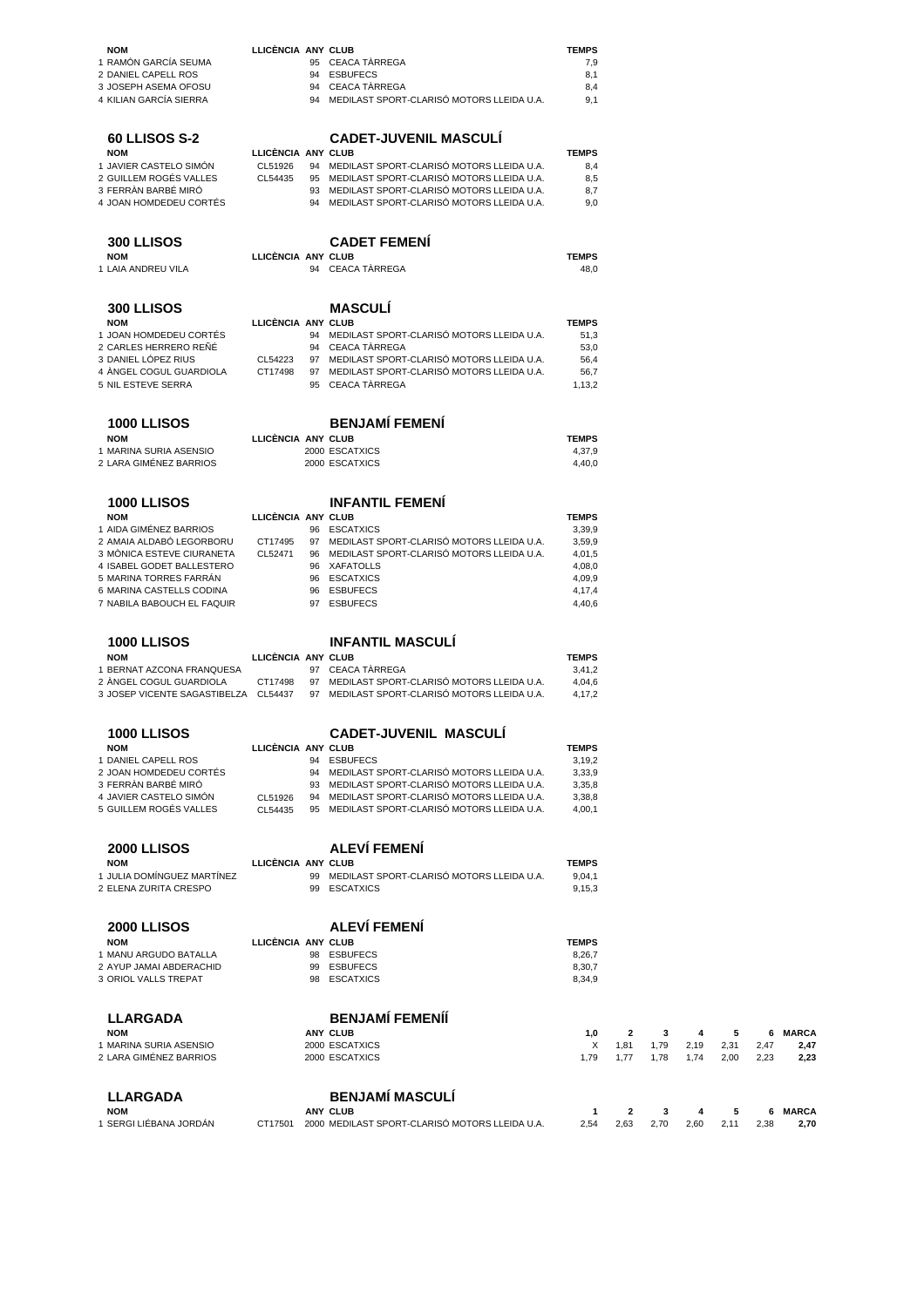| <b>NOM</b>                                             | LLICÊNCIA ANY CLUB |          |                                                                                        | <b>TEMPS</b>           |                      |           |           |           |      |                 |
|--------------------------------------------------------|--------------------|----------|----------------------------------------------------------------------------------------|------------------------|----------------------|-----------|-----------|-----------|------|-----------------|
| 1 RAMÓN GARCÍA SEUMA<br>2 DANIEL CAPELL ROS            |                    | 94       | 95 CEACA TÁRREGA<br><b>ESBUFECS</b>                                                    | 7,9<br>8,1             |                      |           |           |           |      |                 |
| 3 JOSEPH ASEMA OFOSU                                   |                    | 94       | <b>CEACA TÁRREGA</b>                                                                   | 8,4                    |                      |           |           |           |      |                 |
| 4 KILIAN GARCÍA SIERRA                                 |                    | 94       | MEDILAST SPORT-CLARISÓ MOTORS LLEIDA U.A.                                              | 9,1                    |                      |           |           |           |      |                 |
| 60 LLISOS S-2                                          |                    |          | <b>CADET-JUVENIL MASCULI</b>                                                           |                        |                      |           |           |           |      |                 |
| <b>NOM</b>                                             | LLICÈNCIA ANY CLUB |          |                                                                                        | <b>TEMPS</b>           |                      |           |           |           |      |                 |
| 1 JAVIER CASTELO SIMÓN                                 | CL51926            |          | 94 MEDILAST SPORT-CLARISÓ MOTORS LLEIDA U.A.                                           | 8,4                    |                      |           |           |           |      |                 |
| 2 GUILLEM ROGÉS VALLES                                 | CL54435            | 95       | MEDILAST SPORT-CLARISÓ MOTORS LLEIDA U.A.                                              | 8,5                    |                      |           |           |           |      |                 |
| 3 FERRÀN BARBÉ MIRÓ<br>4 JOAN HOMDEDEU CORTÉS          |                    | 93<br>94 | MEDILAST SPORT-CLARISÓ MOTORS LLEIDA U.A.<br>MEDILAST SPORT-CLARISÓ MOTORS LLEIDA U.A. | 8,7<br>9,0             |                      |           |           |           |      |                 |
|                                                        |                    |          |                                                                                        |                        |                      |           |           |           |      |                 |
| <b>300 LLISOS</b>                                      |                    |          | <b>CADET FEMENI</b>                                                                    |                        |                      |           |           |           |      |                 |
| <b>NOM</b>                                             | LLICÊNCIA ANY CLUB |          |                                                                                        | <b>TEMPS</b>           |                      |           |           |           |      |                 |
| 1 LAIA ANDREU VILA                                     |                    |          | 94 CEACA TÀRREGA                                                                       | 48,0                   |                      |           |           |           |      |                 |
| <b>300 LLISOS</b>                                      |                    |          | <b>MASCULÍ</b>                                                                         |                        |                      |           |           |           |      |                 |
| <b>NOM</b>                                             | LLICÊNCIA ANY CLUB |          |                                                                                        | <b>TEMPS</b>           |                      |           |           |           |      |                 |
| 1 JOAN HOMDEDEU CORTÉS                                 |                    | 94       | MEDILAST SPORT-CLARISÓ MOTORS LLEIDA U.A.                                              | 51,3                   |                      |           |           |           |      |                 |
| 2 CARLES HERRERO RENÉ<br>3 DANIEL LÓPEZ RIUS           |                    |          | 94 CEACA TÁRREGA<br>97 MEDILAST SPORT-CLARISÓ MOTORS LLEIDA U.A.                       | 53,0                   |                      |           |           |           |      |                 |
| 4 ÀNGEL COGUL GUARDIOLA                                | CL54223<br>CT17498 |          | 97 MEDILAST SPORT-CLARISÓ MOTORS LLEIDA U.A.                                           | 56,4<br>56,7           |                      |           |           |           |      |                 |
| 5 NIL ESTEVE SERRA                                     |                    | 95       | CEACA TÀRREGA                                                                          | 1,13,2                 |                      |           |           |           |      |                 |
|                                                        |                    |          |                                                                                        |                        |                      |           |           |           |      |                 |
| <b>1000 LLISOS</b>                                     |                    |          | <b>BENJAMÍ FEMENÍ</b>                                                                  |                        |                      |           |           |           |      |                 |
| <b>NOM</b><br>1 MARINA SURIA ASENSIO                   | LLICÊNCIA ANY CLUB |          | 2000 ESCATXICS                                                                         | <b>TEMPS</b><br>4,37,9 |                      |           |           |           |      |                 |
| 2 LARA GIMÉNEZ BARRIOS                                 |                    |          | 2000 ESCATXICS                                                                         | 4,40,0                 |                      |           |           |           |      |                 |
|                                                        |                    |          |                                                                                        |                        |                      |           |           |           |      |                 |
| <b>1000 LLISOS</b>                                     |                    |          | <b>INFANTIL FEMENI</b>                                                                 |                        |                      |           |           |           |      |                 |
| <b>NOM</b>                                             | LLICÊNCIA ANY CLUB |          |                                                                                        | <b>TEMPS</b>           |                      |           |           |           |      |                 |
| 1 AIDA GIMÉNEZ BARRIOS<br>2 AMAIA ALDABÓ LEGORBORU     | CT17495            |          | 96 ESCATXICS<br>97 MEDILAST SPORT-CLARISÓ MOTORS LLEIDA U.A.                           | 3,39,9                 |                      |           |           |           |      |                 |
| 3 MÓNICA ESTEVE CIURANETA                              | CL52471            | 96       | MEDILAST SPORT-CLARISÓ MOTORS LLEIDA U.A.                                              | 3,59,9<br>4,01,5       |                      |           |           |           |      |                 |
| 4 ISABEL GODET BALLESTERO                              |                    |          | 96 XAFATOLLS                                                                           | 4,08,0                 |                      |           |           |           |      |                 |
| 5 MARINA TORRES FARRAN                                 |                    | 96       | <b>ESCATXICS</b>                                                                       | 4,09,9                 |                      |           |           |           |      |                 |
| 6 MARINA CASTELLS CODINA<br>7 NABILA BABOUCH EL FAQUIR |                    | 96       | <b>ESBUFECS</b><br>97 ESBUFECS                                                         | 4,17,4<br>4,40,6       |                      |           |           |           |      |                 |
|                                                        |                    |          |                                                                                        |                        |                      |           |           |           |      |                 |
| <b>1000 LLISOS</b>                                     |                    |          | <b>INFANTIL MASCULÍ</b>                                                                |                        |                      |           |           |           |      |                 |
| <b>NOM</b>                                             | LLICÈNCIA ANY CLUB |          |                                                                                        | <b>TEMPS</b>           |                      |           |           |           |      |                 |
| 1 BERNAT AZCONA FRANQUESA<br>2 ANGEL COGUL GUARDIOLA   |                    |          | 97 CEACA TÁRREGA<br>97 MEDILAST SPORT-CLARISÓ MOTORS LLEIDA U.A.                       | 3,41,2                 |                      |           |           |           |      |                 |
| 3 JOSEP VICENTE SAGASTIBELZA                           | CT17498<br>CL54437 | 97       | MEDILAST SPORT-CLARISÓ MOTORS LLEIDA U.A.                                              | 4,04,6<br>4,17,2       |                      |           |           |           |      |                 |
|                                                        |                    |          |                                                                                        |                        |                      |           |           |           |      |                 |
| 1000 LLISOS                                            |                    |          | CADET-JUVENIL MASCULI                                                                  |                        |                      |           |           |           |      |                 |
| <b>NOM</b>                                             | LLICÊNCIA ANY CLUB |          |                                                                                        | <b>TEMPS</b>           |                      |           |           |           |      |                 |
| 1 DANIEL CAPELL ROS<br>2 JOAN HOMDEDEU CORTÉS          |                    |          | 94 ESBUFECS<br>94 MEDILAST SPORT-CLARISÓ MOTORS LLEIDA U.A.                            | 3, 19, 2<br>3,33,9     |                      |           |           |           |      |                 |
| 3 FERRÁN BARBÉ MIRÓ                                    |                    | 93       | MEDILAST SPORT-CLARISO MOTORS LLEIDA U.A.                                              | 3,35,8                 |                      |           |           |           |      |                 |
| 4 JAVIER CASTELO SIMÓN                                 | CL51926            | 94       | MEDILAST SPORT-CLARISÓ MOTORS LLEIDA U.A.                                              | 3,38,8                 |                      |           |           |           |      |                 |
| 5 GUILLEM ROGÉS VALLES                                 | CL54435            | 95       | MEDILAST SPORT-CLARISÓ MOTORS LLEIDA U.A.                                              | 4,00,1                 |                      |           |           |           |      |                 |
| <b>2000 LLISOS</b>                                     |                    |          | <b>ALEVÍ FEMENÍ</b>                                                                    |                        |                      |           |           |           |      |                 |
| <b>NOM</b>                                             | LLICÊNCIA ANY CLUB |          |                                                                                        | <b>TEMPS</b>           |                      |           |           |           |      |                 |
| 1 JULIA DOMÍNGUEZ MARTÍNEZ                             |                    | 99       | MEDILAST SPORT-CLARISÓ MOTORS LLEIDA U.A.                                              | 9,04,1                 |                      |           |           |           |      |                 |
| 2 ELENA ZURITA CRESPO                                  |                    |          | 99 ESCATXICS                                                                           | 9,15,3                 |                      |           |           |           |      |                 |
|                                                        |                    |          | <b>ALEVÍ FEMENÍ</b>                                                                    |                        |                      |           |           |           |      |                 |
| 2000 LLISOS                                            | LLICÈNCIA ANY CLUB |          |                                                                                        | <b>TEMPS</b>           |                      |           |           |           |      |                 |
| <b>NOM</b><br>1 MANU ARGUDO BATALLA                    |                    | 98       | <b>ESBUFECS</b>                                                                        | 8,26,7                 |                      |           |           |           |      |                 |
| 2 AYUP JAMAI ABDERACHID                                |                    | 99       | <b>ESBUFECS</b>                                                                        | 8,30,7                 |                      |           |           |           |      |                 |
| 3 ORIOL VALLS TREPAT                                   |                    | 98       | <b>ESCATXICS</b>                                                                       | 8,34,9                 |                      |           |           |           |      |                 |
|                                                        |                    |          | <b>BENJAMÍ FEMENÍÍ</b>                                                                 |                        |                      |           |           |           |      |                 |
| <b>LLARGADA</b><br><b>NOM</b>                          |                    |          | <b>ANY CLUB</b>                                                                        | 1,0                    | 2                    | 3         | 4         | 5         | 6    | <b>MARCA</b>    |
| 1 MARINA SURIA ASENSIO                                 |                    |          | 2000 ESCATXICS                                                                         | Х                      | 1,81                 | 1,79      | 2,19      | 2,31      | 2,47 | 2,47            |
| 2 LARA GIMÉNEZ BARRIOS                                 |                    |          | 2000 ESCATXICS                                                                         | 1,79                   | 1,77                 | 1,78      | 1,74      | 2,00      | 2,23 | 2,23            |
|                                                        |                    |          |                                                                                        |                        |                      |           |           |           |      |                 |
| <b>LLARGADA</b>                                        |                    |          | <b>BENJAMÍ MASCULÍ</b>                                                                 |                        |                      |           |           |           |      |                 |
| <b>NOM</b><br>1 SERGI LIÉBANA JORDÁN                   | CT17501            |          | <b>ANY CLUB</b><br>2000 MEDILAST SPORT-CLARISO MOTORS LLEIDA U.A.                      | 1<br>2,54              | $\mathbf{2}$<br>2,63 | 3<br>2,70 | 4<br>2,60 | 5<br>2,11 | 2,38 | 6 MARCA<br>2,70 |
|                                                        |                    |          |                                                                                        |                        |                      |           |           |           |      |                 |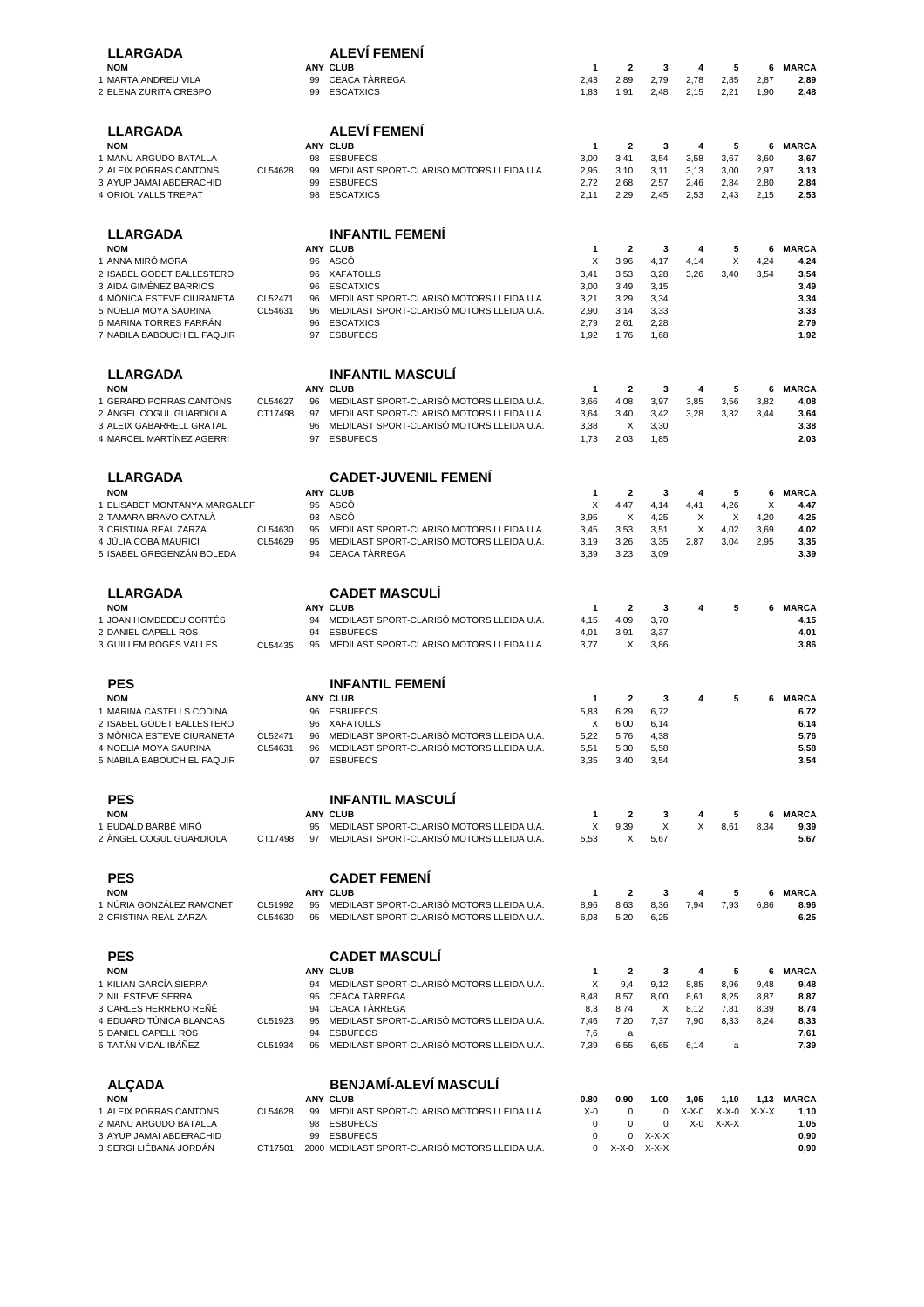| <b>LLARGADA</b>                                                                                            |                    |                      | <b>ALEVÍ FEMENÍ</b>                                                                                                                                    |                              |                              |                              |                              |                              |                              |                              |
|------------------------------------------------------------------------------------------------------------|--------------------|----------------------|--------------------------------------------------------------------------------------------------------------------------------------------------------|------------------------------|------------------------------|------------------------------|------------------------------|------------------------------|------------------------------|------------------------------|
| <b>NOM</b><br>1 MARTA ANDREU VILA<br>2 ELENA ZURITA CRESPO                                                 |                    | 99<br>99             | <b>ANY CLUB</b><br>CEACA TÀRREGA<br><b>ESCATXICS</b>                                                                                                   | 1<br>2,43<br>1,83            | 2<br>2,89<br>1,91            | 3<br>2,79<br>2,48            | 4<br>2,78<br>2,15            | 5<br>2,85<br>2,21            | 6<br>2,87<br>1,90            | <b>MARCA</b><br>2,89<br>2,48 |
| <b>LLARGADA</b><br><b>NOM</b>                                                                              |                    |                      | <b>ALEVÍ FEMENÍ</b><br><b>ANY CLUB</b>                                                                                                                 | 1                            | $\overline{\mathbf{2}}$      | 3                            | 4                            | 5                            | 6                            | <b>MARCA</b>                 |
| 1 MANU ARGUDO BATALLA<br>2 ALEIX PORRAS CANTONS<br>3 AYUP JAMAI ABDERACHID<br>4 ORIOL VALLS TREPAT         | CL54628            | 98<br>99<br>99<br>98 | <b>ESBUFECS</b><br>MEDILAST SPORT-CLARISÓ MOTORS LLEIDA U.A.<br><b>ESBUFECS</b><br><b>ESCATXICS</b>                                                    | 3,00<br>2,95<br>2,72<br>2,11 | 3,41<br>3,10<br>2,68<br>2,29 | 3,54<br>3,11<br>2,57<br>2,45 | 3,58<br>3,13<br>2,46<br>2,53 | 3,67<br>3,00<br>2,84<br>2,43 | 3,60<br>2,97<br>2,80<br>2,15 | 3,67<br>3,13<br>2,84<br>2,53 |
| <b>LLARGADA</b><br><b>NOM</b>                                                                              |                    |                      | <b>INFANTIL FEMENI</b><br><b>ANY CLUB</b>                                                                                                              | 1                            | 2                            | 3                            | 4                            | 5                            | 6                            | <b>MARCA</b>                 |
| 1 ANNA MIRÓ MORA<br>2 ISABEL GODET BALLESTERO<br>3 AIDA GIMÉNEZ BARRIOS                                    |                    | 96<br>96<br>96       | ASCÓ<br>XAFATOLLS<br><b>ESCATXICS</b>                                                                                                                  | X<br>3,41<br>3,00            | 3,96<br>3,53<br>3,49         | 4,17<br>3,28<br>3,15         | 4,14<br>3,26                 | Х<br>3,40                    | 4,24<br>3,54                 | 4,24<br>3,54<br>3,49         |
| 4 MÒNICA ESTEVE CIURANETA<br>5 NOELIA MOYA SAURINA<br>6 MARINA TORRES FARRÁN<br>7 NABILA BABOUCH EL FAQUIR | CL52471<br>CL54631 | 96<br>96<br>96<br>97 | MEDILAST SPORT-CLARISÓ MOTORS LLEIDA U.A.<br>MEDILAST SPORT-CLARISÓ MOTORS LLEIDA U.A.<br><b>ESCATXICS</b><br><b>ESBUFECS</b>                          | 3,21<br>2,90<br>2,79<br>1,92 | 3,29<br>3,14<br>2,61<br>1,76 | 3,34<br>3,33<br>2,28<br>1,68 |                              |                              |                              | 3,34<br>3,33<br>2,79<br>1,92 |
| <b>LLARGADA</b><br><b>NOM</b>                                                                              |                    |                      | <b>INFANTIL MASCULÍ</b><br><b>ANY CLUB</b>                                                                                                             | 1                            | 2                            | 3                            | 4                            | 5                            | 6                            | <b>MARCA</b>                 |
| 1 GERARD PORRAS CANTONS<br>2 ANGEL COGUL GUARDIOLA<br>3 ALEIX GABARRELL GRATAL<br>4 MARCEL MARTÍNEZ AGERRI | CL54627<br>CT17498 | 96<br>97<br>96<br>97 | MEDILAST SPORT-CLARISÓ MOTORS LLEIDA U.A.<br>MEDILAST SPORT-CLARISÓ MOTORS LLEIDA U.A.<br>MEDILAST SPORT-CLARISÓ MOTORS LLEIDA U.A.<br><b>ESBUFECS</b> | 3,66<br>3,64<br>3,38<br>1,73 | 4,08<br>3,40<br>Χ<br>2,03    | 3,97<br>3,42<br>3,30<br>1,85 | 3,85<br>3,28                 | 3,56<br>3,32                 | 3,82<br>3,44                 | 4,08<br>3,64<br>3,38<br>2,03 |
| <b>LLARGADA</b><br><b>NOM</b>                                                                              |                    |                      | <b>CADET-JUVENIL FEMENÍ</b><br><b>ANY CLUB</b>                                                                                                         | 1                            | 2                            | 3                            | 4                            | 5                            | 6                            | <b>MARCA</b>                 |
| 1 ELISABET MONTANYA MARGALEF<br>2 TAMARA BRAVO CATALÁ                                                      |                    | 95<br>93             | ASCÓ<br>ASCÓ                                                                                                                                           | X<br>3,95                    | 4,47<br>Χ                    | 4,14<br>4,25                 | 4,41<br>Χ                    | 4,26<br>Х                    | X<br>4,20                    | 4,47<br>4,25                 |
| 3 CRISTINA REAL ZARZA<br>4 JÚLIA COBA MAURICI                                                              | CL54630<br>CL54629 | 95<br>95             | MEDILAST SPORT-CLARISÓ MOTORS LLEIDA U.A.<br>MEDILAST SPORT-CLARISÓ MOTORS LLEIDA U.A.                                                                 | 3,45<br>3,19                 | 3,53<br>3,26                 | 3,51<br>3,35                 | X<br>2,87                    | 4,02<br>3,04                 | 3,69<br>2,95                 | 4,02<br>3,35                 |
| 5 ISABEL GREGENZÁN BOLEDA                                                                                  |                    | 94                   | CEACA TÀRREGA                                                                                                                                          | 3,39                         | 3,23                         | 3,09                         |                              |                              |                              | 3,39                         |
| <b>LLARGADA</b><br><b>NOM</b>                                                                              |                    |                      | <b>CADET MASCULÍ</b><br><b>ANY CLUB</b>                                                                                                                | 1                            | 2                            | 3                            | 4                            | 5                            | 6                            | <b>MARCA</b>                 |
| 1 JOAN HOMDEDEU CORTÉS<br>2 DANIEL CAPELL ROS<br>3 GUILLEM ROGÉS VALLES                                    | CL54435            | 94<br>94<br>95       | MEDILAST SPORT-CLARISÓ MOTORS LLEIDA U.A.<br><b>ESBUFECS</b><br>MEDILAST SPORT-CLARISÓ MOTORS LLEIDA U.A.                                              | 4,15<br>4,01<br>3,77         | 4,09<br>3,91<br>Х            | 3,70<br>3,37<br>3,86         |                              |                              |                              | 4,15<br>4,01<br>3,86         |
| <b>PES</b>                                                                                                 |                    |                      | <b>INFANTIL FEMENÍ</b>                                                                                                                                 |                              |                              |                              |                              |                              |                              |                              |
| <b>NOM</b><br>1 MARINA CASTELLS CODINA                                                                     |                    | 96                   | <b>ANY CLUB</b><br><b>ESBUFECS</b>                                                                                                                     | 1<br>5,83                    | $\mathbf{2}$<br>6,29         | 3<br>6,72                    | 4                            | 5                            | 6                            | <b>MARCA</b><br>6,72         |
| 2 ISABEL GODET BALLESTERO<br>3 MÒNICA ESTEVE CIURANETA                                                     | CL52471            | 96<br>96             | <b>XAFATOLLS</b><br>MEDILAST SPORT-CLARISÓ MOTORS LLEIDA U.A.                                                                                          | X<br>5,22                    | 6,00<br>5,76                 | 6,14<br>4,38                 |                              |                              |                              | 6,14<br>5,76                 |
| 4 NOELIA MOYA SAURINA<br>5 NABILA BABOUCH EL FAQUIR                                                        | CL54631            | 96<br>97             | MEDILAST SPORT-CLARISÓ MOTORS LLEIDA U.A.<br><b>ESBUFECS</b>                                                                                           | 5,51<br>3,35                 | 5,30<br>3,40                 | 5,58<br>3,54                 |                              |                              |                              | 5,58<br>3,54                 |
| <b>PES</b><br><b>NOM</b>                                                                                   |                    |                      | <b>INFANTIL MASCULI</b><br><b>ANY CLUB</b>                                                                                                             | 1                            | 2                            | 3                            | 4                            | 5                            | 6                            | <b>MARCA</b>                 |
| 1 EUDALD BARBÉ MIRÓ<br>2 ANGEL COGUL GUARDIOLA                                                             | CT17498            | 95<br>97             | MEDILAST SPORT-CLARISÓ MOTORS LLEIDA U.A.<br>MEDILAST SPORT-CLARISÓ MOTORS LLEIDA U.A.                                                                 | X<br>5,53                    | 9,39<br>X                    | Χ<br>5,67                    | X                            | 8,61                         | 8,34                         | 9,39<br>5,67                 |
| <b>PES</b><br><b>NOM</b>                                                                                   |                    |                      | <b>CADET FEMENI</b><br><b>ANY CLUB</b>                                                                                                                 | 1                            | 2                            | 3                            | 4                            | 5                            | 6                            | <b>MARCA</b>                 |
| 1 NÚRIA GONZÁLEZ RAMONET<br>2 CRISTINA REAL ZARZA                                                          | CL51992<br>CL54630 | 95<br>95             | MEDILAST SPORT-CLARISÓ MOTORS LLEIDA U.A.<br>MEDILAST SPORT-CLARISÓ MOTORS LLEIDA U.A.                                                                 | 8,96<br>6,03                 | 8,63<br>5,20                 | 8,36<br>6,25                 | 7,94                         | 7,93                         | 6,86                         | 8,96<br>6,25                 |
| <b>PES</b><br><b>NOM</b>                                                                                   |                    |                      | <b>CADET MASCULÍ</b><br><b>ANY CLUB</b>                                                                                                                | 1                            | $\overline{\mathbf{2}}$      | 3                            | 4                            | 5                            | 6                            | <b>MARCA</b>                 |
| 1 KILIAN GARCIA SIERRA<br>2 NIL ESTEVE SERRA                                                               |                    | 94<br>95             | MEDILAST SPORT-CLARISÓ MOTORS LLEIDA U.A.<br>CEACA TÀRREGA                                                                                             | X<br>8,48                    | 9,4<br>8,57                  | 9,12<br>8,00                 | 8,85<br>8,61                 | 8,96<br>8,25                 | 9,48<br>8,87                 | 9,48<br>8,87                 |
| 3 CARLES HERRERO REÑÉ                                                                                      |                    | 94                   | CEACA TÀRREGA                                                                                                                                          | 8,3                          | 8,74                         | Х                            | 8,12                         | 7,81                         | 8,39                         | 8,74                         |
| 4 EDUARD TÚNICA BLANCAS<br>5 DANIEL CAPELL ROS<br>6 TATÁN VIDAL IBÁÑEZ                                     | CL51923<br>CL51934 | 95<br>94<br>95       | MEDILAST SPORT-CLARISÓ MOTORS LLEIDA U.A.<br><b>ESBUFECS</b><br>MEDILAST SPORT-CLARISÓ MOTORS LLEIDA U.A.                                              | 7,46<br>7,6<br>7,39          | 7,20<br>a<br>6,55            | 7,37<br>6,65                 | 7,90<br>6,14                 | 8,33<br>a                    | 8,24                         | 8,33<br>7,61<br>7,39         |
| <b>ALÇADA</b>                                                                                              |                    |                      | <b>BENJAMÍ-ALEVÍ MASCULÍ</b>                                                                                                                           |                              |                              |                              |                              |                              |                              |                              |
| <b>NOM</b><br>1 ALEIX PORRAS CANTONS                                                                       | CL54628            | 99                   | <b>ANY CLUB</b><br>MEDILAST SPORT-CLARISÓ MOTORS LLEIDA U.A.                                                                                           | 0.80<br>$X-0$                | 0.90<br>0                    | 1.00<br>0                    | 1,05<br>$X-X-0$              | 1,10<br>$X-X-0$              | 1,13<br>$X-X-X$              | <b>MARCA</b><br>1,10         |
| 2 MANU ARGUDO BATALLA<br>3 AYUP JAMAI ABDERACHID                                                           |                    | 98<br>99             | <b>ESBUFECS</b><br><b>ESBUFECS</b>                                                                                                                     | 0<br>0                       | 0<br>0                       | 0<br>$X-X-X$                 | $X-0$                        | $X-X-X$                      |                              | 1,05<br>0,90                 |
| 3 SERGI LIÉBANA JORDÁN                                                                                     | CT17501            |                      | 2000 MEDILAST SPORT-CLARISO MOTORS LLEIDA U.A.                                                                                                         | $\mathbf 0$                  | X-X-0                        | X-X-X                        |                              |                              |                              | 0,90                         |